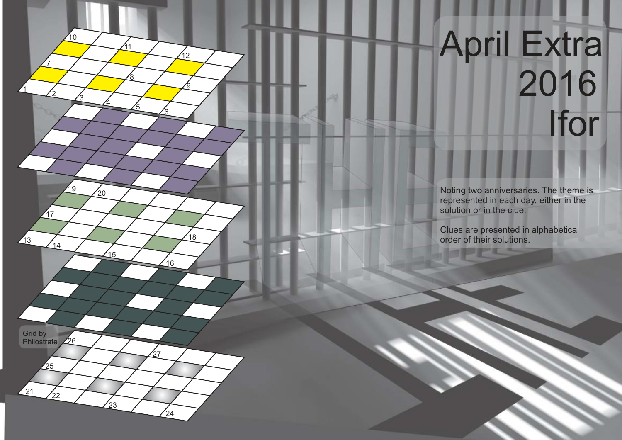## April Extra 2016 Ifor

Noting two anniversaries. The theme is represented in each day, either in the solution or in the clue.

Clues are presented in alphabetical order of their solutions.

Grid by Philostrate 26  $\overline{\phantom{0}}$ 27 25  $\mathbf{z}_2$ 27 22  $24$ 23

1

2

<sup>13</sup> <sup>14</sup>

 $47$ 

7

3

 $\sqrt{19}$   $\sqrt{20}$ 

 $\frac{1}{10}$ 

4

 $\frac{1}{15}$ 

5

8

11

6

 $\frac{1}{16}$ 

 $18$ 

9

 $\frac{1}{2}$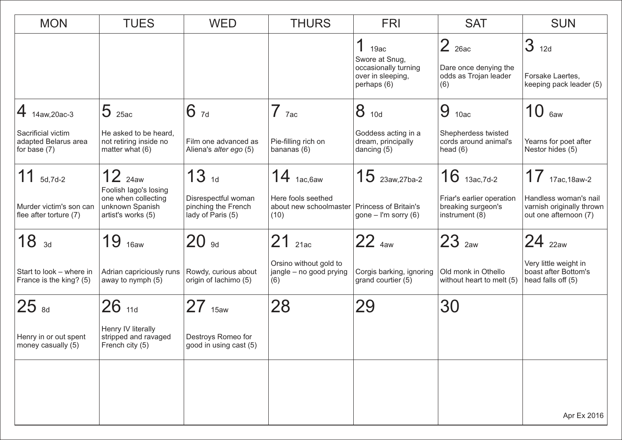| <b>MON</b>                                                 | <b>TUES</b>                                                                           | <b>WED</b>                                                      | <b>THURS</b>                                                                 | <b>FRI</b>                                                                              | <b>SAT</b>                                                        | <b>SUN</b>                                                                  |  |  |
|------------------------------------------------------------|---------------------------------------------------------------------------------------|-----------------------------------------------------------------|------------------------------------------------------------------------------|-----------------------------------------------------------------------------------------|-------------------------------------------------------------------|-----------------------------------------------------------------------------|--|--|
|                                                            |                                                                                       |                                                                 |                                                                              | 4<br>19ac<br>Swore at Snug,<br>occasionally turning<br>over in sleeping,<br>perhaps (6) | $2$ 26ac<br>Dare once denying the<br>odds as Trojan leader<br>(6) | 3 <sub>12d</sub><br>Forsake Laertes,<br>keeping pack leader (5)             |  |  |
| $\bm{4}$ 14aw,20ac-3                                       | $5$ <sub>25ac</sub>                                                                   | 67d                                                             | $7$ $7ac$                                                                    | 8<br>10d                                                                                | 9<br>10ac                                                         | 10<br>6aw                                                                   |  |  |
| Sacrificial victim<br>adapted Belarus area<br>for base (7) | He asked to be heard,<br>not retiring inside no<br>matter what (6)                    | Film one advanced as<br>Aliena's alter ego (5)                  | Pie-filling rich on<br>bananas (6)                                           | Goddess acting in a<br>dream, principally<br>dancing $(5)$                              | Shepherdess twisted<br>cords around animal's<br>head $(6)$        | Yearns for poet after<br>Nestor hides (5)                                   |  |  |
| 11<br>5d,7d-2                                              | $12$ $_{24aw}$                                                                        | 13 <sub>1d</sub>                                                | $14$ 1ac, 6aw                                                                | $15$ 23aw, 27ba-2                                                                       | $16$ 13ac, 7d-2                                                   | $17$ 17ac, 18aw-2                                                           |  |  |
| Murder victim's son can<br>flee after torture (7)          | Foolish lago's losing<br>one when collecting<br>unknown Spanish<br>artist's works (5) | Disrespectful woman<br>pinching the French<br>lady of Paris (5) | Here fools seethed<br>about new schoolmaster   Princess of Britain's<br>(10) | gone $-$ I'm sorry (6)                                                                  | Friar's earlier operation<br>breaking surgeon's<br>instrument (8) | Handless woman's nail<br>varnish originally thrown<br>out one afternoon (7) |  |  |
| 18 <sub>3d</sub>                                           | 19<br>16aw                                                                            | $20$ $_{9d}$                                                    | 21<br>21ac                                                                   | $22_{4}$                                                                                | $23$ $_{2}$                                                       | $24$ $_{22aw}$                                                              |  |  |
| Start to look - where in<br>France is the king? (5)        | Adrian capriciously runs<br>away to nymph (5)                                         | Rowdy, curious about<br>origin of lachimo (5)                   | Orsino without gold to<br>jangle - no good prying<br>(6)                     | Corgis barking, ignoring<br>grand courtier (5)                                          | Old monk in Othello<br>without heart to melt (5)                  | Very little weight in<br>boast after Bottom's<br>head falls off (5)         |  |  |
| $ 25 _{\rm{sd}}$                                           | $26$ 11d                                                                              | $27$ 15aw                                                       | 28                                                                           | 29                                                                                      | 30                                                                |                                                                             |  |  |
| Henry in or out spent<br>money casually (5)                | Henry IV literally<br>stripped and ravaged<br>French city (5)                         | Destroys Romeo for<br>good in using cast (5)                    |                                                                              |                                                                                         |                                                                   |                                                                             |  |  |
|                                                            |                                                                                       |                                                                 |                                                                              |                                                                                         |                                                                   |                                                                             |  |  |
|                                                            |                                                                                       |                                                                 |                                                                              |                                                                                         |                                                                   |                                                                             |  |  |
|                                                            |                                                                                       |                                                                 |                                                                              |                                                                                         |                                                                   | Apr Ex 2016                                                                 |  |  |